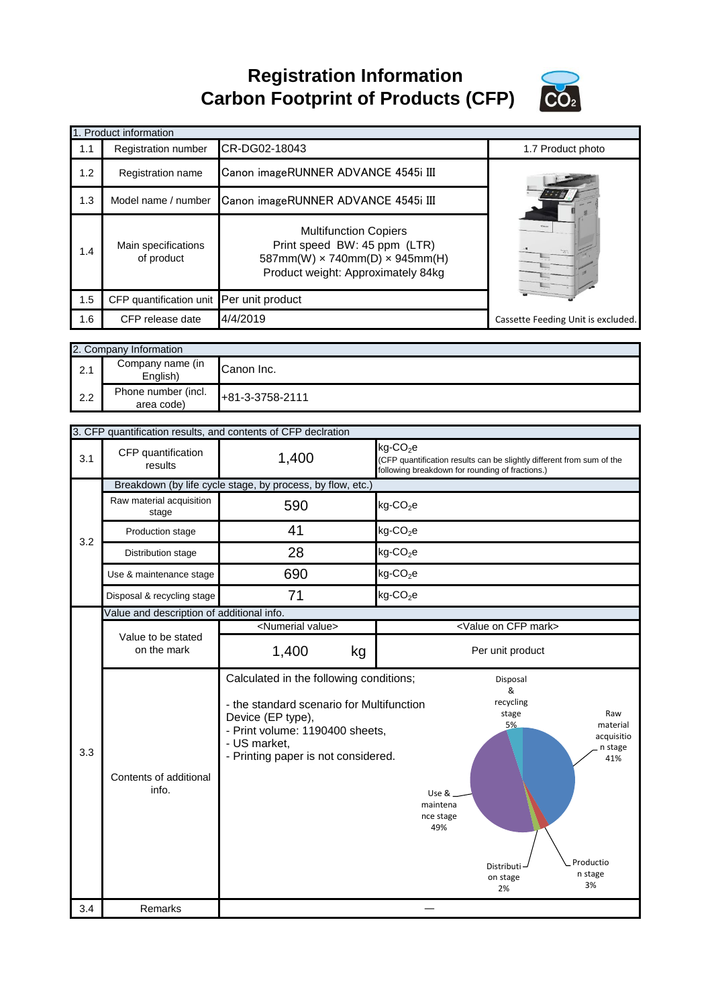**Registration Information Carbon Footprint of Products (CFP)**



|     | 1. Product information                    |                                                                                                                                                          |                                                                             |                                                                       |
|-----|-------------------------------------------|----------------------------------------------------------------------------------------------------------------------------------------------------------|-----------------------------------------------------------------------------|-----------------------------------------------------------------------|
| 1.1 | Registration number                       | CR-DG02-18043                                                                                                                                            |                                                                             | 1.7 Product photo                                                     |
| 1.2 | Registration name                         | Canon imageRUNNER ADVANCE 4545i III                                                                                                                      |                                                                             |                                                                       |
| 1.3 | Model name / number                       | Canon imageRUNNER ADVANCE 4545i III                                                                                                                      |                                                                             |                                                                       |
| 1.4 | Main specifications<br>of product         | <b>Multifunction Copiers</b><br>Print speed BW: 45 ppm (LTR)<br>587mm(W) x 740mm(D) x 945mm(H)<br>Product weight: Approximately 84kg                     |                                                                             |                                                                       |
| 1.5 | CFP quantification unit                   | Per unit product                                                                                                                                         |                                                                             |                                                                       |
| 1.6 | CFP release date                          | 4/4/2019                                                                                                                                                 |                                                                             | Cassette Feeding Unit is excluded.                                    |
|     |                                           |                                                                                                                                                          |                                                                             |                                                                       |
|     | 2. Company Information                    |                                                                                                                                                          |                                                                             |                                                                       |
| 2.1 | Company name (in<br>English)              | Canon Inc.                                                                                                                                               |                                                                             |                                                                       |
| 2.2 | Phone number (incl.<br>area code)         | +81-3-3758-2111                                                                                                                                          |                                                                             |                                                                       |
|     |                                           |                                                                                                                                                          |                                                                             |                                                                       |
|     |                                           | 3. CFP quantification results, and contents of CFP declration                                                                                            | kg-CO <sub>2</sub> e                                                        |                                                                       |
| 3.1 | CFP quantification<br>results             | 1,400                                                                                                                                                    | following breakdown for rounding of fractions.)                             | (CFP quantification results can be slightly different from sum of the |
|     |                                           | Breakdown (by life cycle stage, by process, by flow, etc.)                                                                                               |                                                                             |                                                                       |
|     | Raw material acquisition<br>stage         | 590                                                                                                                                                      | kg-CO <sub>2</sub> e                                                        |                                                                       |
|     | Production stage                          | 41                                                                                                                                                       | $kg$ -CO <sub>2</sub> e                                                     |                                                                       |
| 3.2 | Distribution stage                        | 28                                                                                                                                                       | $kg$ -CO <sub>2</sub> e                                                     |                                                                       |
|     | Use & maintenance stage                   | 690                                                                                                                                                      | $kg$ -CO <sub>2</sub> e                                                     |                                                                       |
|     | Disposal & recycling stage                | 71                                                                                                                                                       | $kg$ -CO <sub>2</sub> e                                                     |                                                                       |
|     | Value and description of additional info. |                                                                                                                                                          |                                                                             |                                                                       |
|     | Value to be stated                        | <numerial value=""></numerial>                                                                                                                           |                                                                             | <value cfp="" mark="" on=""></value>                                  |
|     | on the mark                               | 1,400<br>kg                                                                                                                                              |                                                                             | Per unit product                                                      |
| 3.3 |                                           | Calculated in the following conditions;                                                                                                                  |                                                                             | Disposal<br>&                                                         |
|     | Contents of additional<br>info.           | - the standard scenario for Multifunction<br>Device (EP type),<br>- Print volume: 1190400 sheets,<br>- US market,<br>- Printing paper is not considered. | recycling<br>stage<br>Raw<br>5%<br>material<br>acquisitio<br>n stage<br>41% |                                                                       |
| 3.4 | Remarks                                   |                                                                                                                                                          |                                                                             | Productio<br>Distributi<br>n stage<br>on stage<br>3%<br>2%            |
|     |                                           |                                                                                                                                                          |                                                                             |                                                                       |